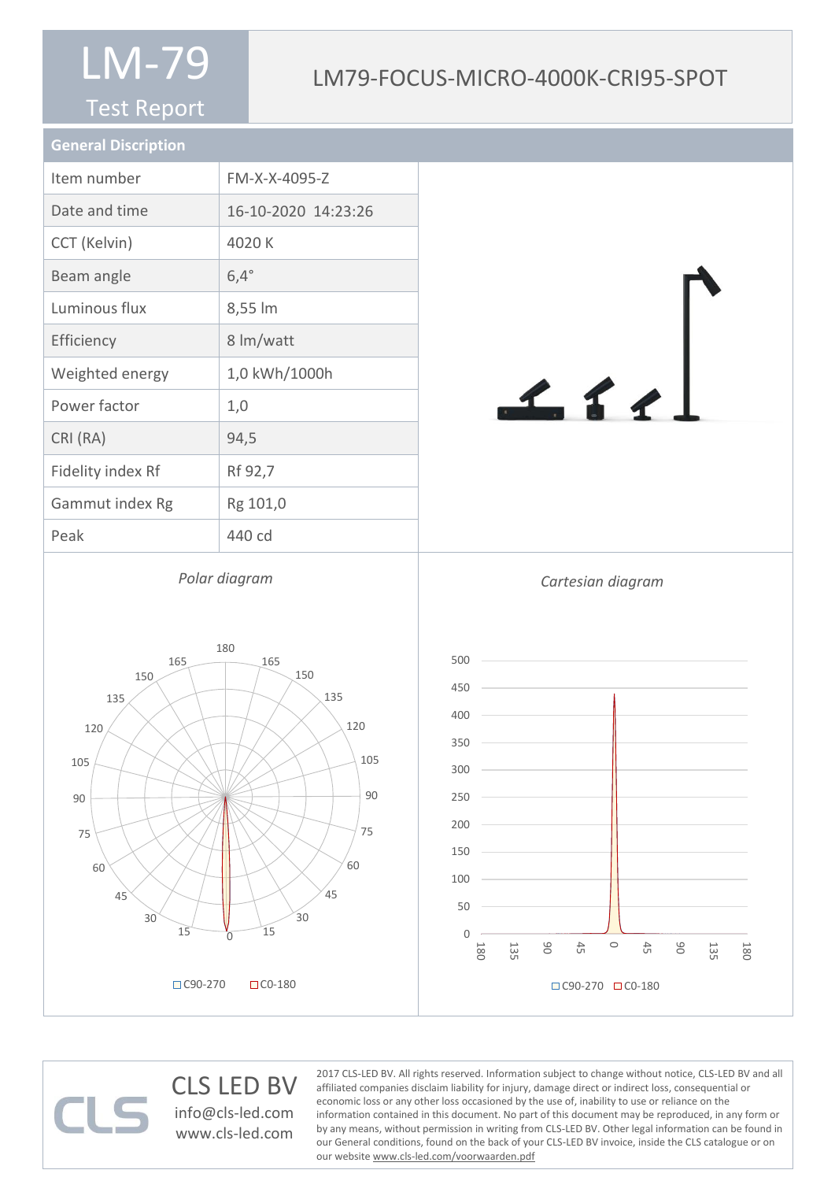#### Test Report

### LM79-FOCUS-MICRO-4000K-CRI95-SPOT

| <b>General Discription</b> |                     |
|----------------------------|---------------------|
| Item number                | FM-X-X-4095-Z       |
| Date and time              | 16-10-2020 14:23:26 |
| CCT (Kelvin)               | 4020 K              |
| Beam angle                 | $6,4^\circ$         |
| Luminous flux              | 8,55 lm             |
| Efficiency                 | 8 lm/watt           |
| Weighted energy            | 1,0 kWh/1000h       |
| Power factor               | 1,0                 |
| CRI (RA)                   | 94,5                |
| Fidelity index Rf          | Rf 92,7             |
| Gammut index Rg            | Rg 101,0            |
| Peak                       | 440 cd              |
|                            |                     |

*Polar diagram*





www.cls-led.com



CLS LED BV info@cls-led.com CLS-LED BV. All rights reserved. Information subject to change without notice, CLS-LED BV and all affiliated companies disclaim liability for injury, damage direct or indirect loss, consequential or economic loss or any other loss occasioned by the use of, inability to use or reliance on the information contained in this document. No part of this document may be reproduced, in any form or by any means, without permission in writing from CLS-LED BV. Other legal information can be found in our General conditions, found on the back of your CLS-LED BV invoice, inside the CLS catalogue or on our website www.cls-led.com/voorwaarden.pdf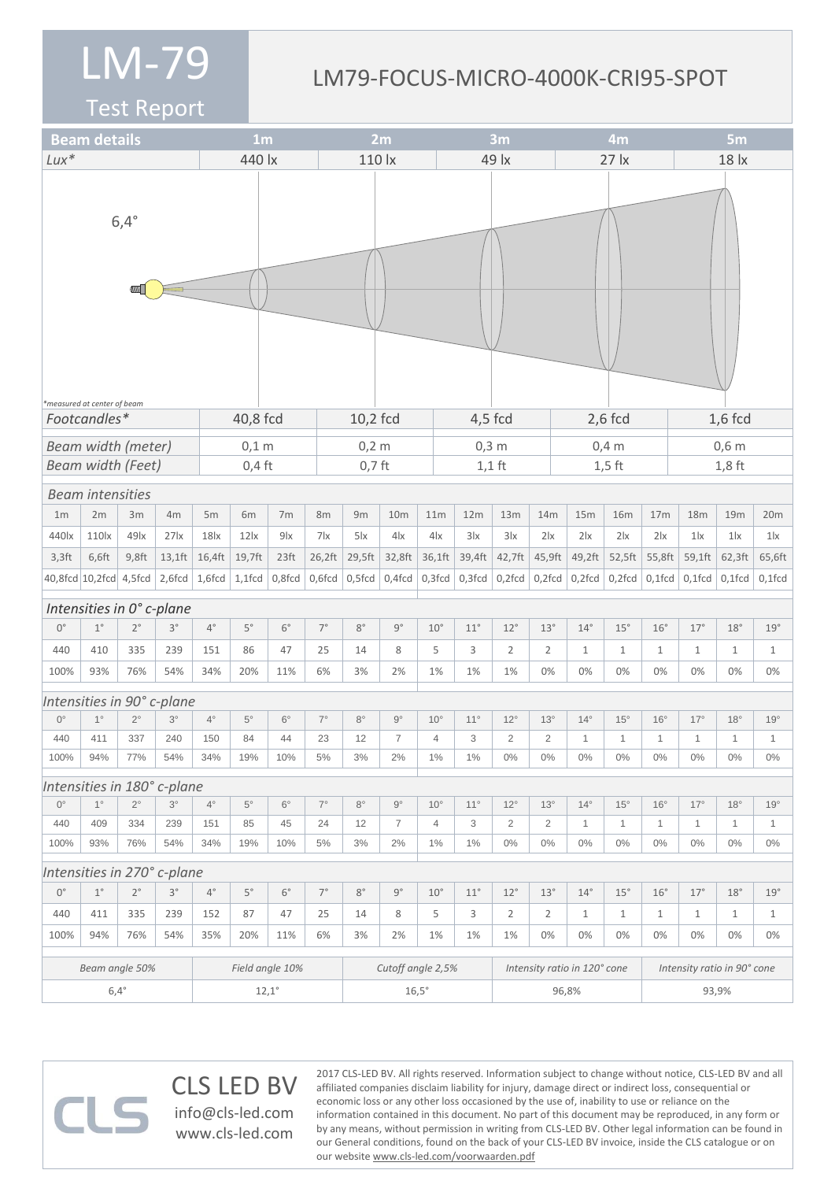#### LM79-FOCUS-MICRO-4000K-CRI95-SPOT

2017 CLS-LED BV. All rights reserved. Information subject to change without notice, CLS-LED BV and all affiliated companies disclaim liability for injury, damage direct or indirect loss, consequential or economic loss or any other loss occasioned by the use of, inability to use or reliance on the

information contained in this document. No part of this document may be reproduced, in any form or by any means, without permission in writing from CLS-LED BV. Other legal information can be found in our General conditions, found on the back of your CLS-LED BV invoice, inside the CLS catalogue or on

Test Report

| <b>Beam details</b>                                     |                         |                          |                             |                  | 1 <sub>m</sub>    |                  |             |              | 2m              |                              |                |              | 3m             |                |                             | 4m           |                 |              | 5 <sub>m</sub> |              |  |
|---------------------------------------------------------|-------------------------|--------------------------|-----------------------------|------------------|-------------------|------------------|-------------|--------------|-----------------|------------------------------|----------------|--------------|----------------|----------------|-----------------------------|--------------|-----------------|--------------|----------------|--------------|--|
| $Lux*$                                                  |                         |                          |                             | 440 lx           |                   |                  |             | 110 lx       |                 |                              | 49 lx          |              |                |                | $27$ $\overline{x}$         |              |                 | 18 lx        |                |              |  |
|                                                         |                         | $6,4^\circ$              |                             |                  |                   |                  |             |              |                 |                              |                |              |                |                |                             |              |                 |              |                |              |  |
| *measured at center of beam<br>Footcandles*<br>40,8 fcd |                         |                          |                             |                  |                   |                  |             | 10,2 fcd     |                 |                              | $4,5$ fcd      |              |                |                | $2,6$ fcd                   |              |                 | $1,6$ fcd    |                |              |  |
| <b>Beam width (meter)</b>                               |                         |                          |                             |                  | $0,1$ m           |                  |             | $0,2 \, m$   |                 |                              | $0,3$ m        |              |                |                | $0,4$ m                     |              |                 | $0,6$ m      |                |              |  |
|                                                         |                         | <b>Beam width (Feet)</b> |                             |                  | $0,4$ ft          |                  |             | $0,7$ ft     |                 |                              |                |              | $1,1$ ft       |                | $1,5$ ft                    |              |                 | $1,8$ ft     |                |              |  |
|                                                         | <b>Beam intensities</b> |                          |                             |                  |                   |                  |             |              |                 |                              |                |              |                |                |                             |              |                 |              |                |              |  |
| 1 <sub>m</sub>                                          | 2m                      | 3m                       | 4m                          | 5m               | 6m                | 7 <sub>m</sub>   | 8m          | 9m           | 10 <sub>m</sub> |                              | 11m            | 12m          | 13m            | 14m            | 15m                         | <b>16m</b>   | 17 <sub>m</sub> | 18m          | 19m            | 20m          |  |
| 440 <sub>k</sub>                                        | 110 <sub>x</sub>        | $49$ $x$                 | $27$ $x$                    | 18 <sub>lx</sub> | $12$ $\alpha$     | 9x               | 7x          | $5\,$        | 4 <sub>x</sub>  |                              | 4x             | 3 x          | 3x             | 2 x            | 2 x                         | 2 x          | 2 x             | $1\text{lx}$ | 1 <sub>x</sub> | $1\text{lx}$ |  |
| $3,3$ ft                                                | 6,6ft                   | $9,8$ ft                 | $13,1$ ft                   | 16,4ft           | 19,7ft            | 23 <sup>ft</sup> | 26,2ft      | 29,5ft       | 32,8ft          |                              | 36,1ft         | 39,4ft       | 42,7ft         | 45,9ft         | 49,2ft                      | 52,5ft       | 55,8ft          | 59,1ft       | 62,3ft         | 65,6ft       |  |
| 40,8fcd 10,2fcd 4,5fcd                                  |                         |                          | $2,6$ fcd $ 1,6$ fcd $ $    |                  | $1,1$ fcd         | 0,8fcd           | 0,6fcd      | $0,5$ fcd    | $0,4$ fcd       |                              | $0,3$ fcd      | $0,3$ fcd    | $0,2$ fcd      | $0,2$ fcd      | $0,2$ fcd                   | $0,2$ fcd    | $0,1$ fcd       | $0,1$ fcd    | $0,1$ fcd      | $0,1$ fcd    |  |
| Intensities in 0° c-plane                               |                         |                          |                             |                  |                   |                  |             |              |                 |                              |                |              |                |                |                             |              |                 |              |                |              |  |
| $0^{\circ}$                                             | $1^{\circ}$             | $2^{\circ}$              | $3^{\circ}$                 | $4^{\circ}$      | $5^{\circ}$       | $6^{\circ}$      | $7^{\circ}$ | $8^{\circ}$  | $9^{\circ}$     |                              | $10^{\circ}$   | $11^{\circ}$ | $12^{\circ}$   | 13°            | $14^{\circ}$                | $15^{\circ}$ | $16^{\circ}$    | 17°          | 18°            | 19°          |  |
| 440                                                     | 410                     | 335                      | 239                         | 151              | 86                | 47               | 25          | 14           | 8               |                              | 5              | 3            | $\overline{2}$ | $\overline{2}$ | $\mathbf{1}$                | $\mathbf{1}$ | $\mathbf{1}$    | $\mathbf{1}$ | $\mathbf{1}$   | $\mathbf{1}$ |  |
| 100%                                                    | 93%                     | 76%                      | 54%                         | 34%              | 20%               | 11%              | 6%          | 3%           | 2%              |                              | 1%             | 1%           | 1%             | 0%             | 0%                          | 0%           | 0%              | 0%           | 0%             | 0%           |  |
|                                                         |                         |                          | Intensities in 90° c-plane  |                  |                   |                  |             |              |                 |                              |                |              |                |                |                             |              |                 |              |                |              |  |
| $0^{\circ}$                                             | $1^{\circ}$             | $2^{\circ}$              | $3^\circ$                   | $4^{\circ}$      | $5^{\circ}$       | $6^{\circ}$      | $7^{\circ}$ | $8^{\circ}$  | $9^{\circ}$     |                              | $10^{\circ}$   | $11^{\circ}$ | $12^{\circ}$   | $13^\circ$     | $14^{\circ}$                | $15^{\circ}$ | $16^{\circ}$    | $17^\circ$   | $18^\circ$     | 19°          |  |
| 440                                                     | 411                     | 337                      | 240                         | 150              | 84                | 44               | 23          | 12           | $\overline{7}$  |                              | $\overline{4}$ | 3            | $\overline{2}$ | 2              | 1                           | 1            | $\mathbf{1}$    | 1            | 1              | $\mathbf{1}$ |  |
| 100%                                                    | 94%                     | 77%                      | 54%                         | 34%              | 19%               | 10%              | 5%          | 3%           | 2%              |                              | 1%             | 1%           | 0%             | $0\%$          | $0\%$                       | $0\%$        | $0\%$           | $0\%$        | $0\%$          | $0\%$        |  |
|                                                         |                         |                          | Intensities in 180° c-plane |                  |                   |                  |             |              |                 |                              |                |              |                |                |                             |              |                 |              |                |              |  |
| $0^{\circ}$                                             | $1^{\circ}$             | $2^{\circ}$              | $3^\circ$                   | $4^{\circ}$      | $5^{\circ}$       | $6^{\circ}$      | $7^{\circ}$ | $8^{\circ}$  | $9^{\circ}$     |                              | $10^{\circ}$   | $11^{\circ}$ | $12^{\circ}$   | $13^\circ$     | $14^{\circ}$                | $15^{\circ}$ | $16^{\circ}$    | $17^{\circ}$ | $18^{\circ}$   | 19°          |  |
| 440                                                     | 409                     | 334                      | 239                         | 151              | 85                | 45               | 24          | 12           | $\overline{7}$  |                              | 4              | 3            | $\overline{2}$ | $\overline{2}$ | $\mathbf{1}$                | $\mathbf{1}$ | $\mathbf{1}$    | $\mathbf{1}$ | $\mathbf{1}$   | $\mathbf{1}$ |  |
| 100%                                                    | 93%                     | 76%                      | 54%                         | 34%              | 19%               | 10%              | 5%          | 3%           | 2%              |                              | 1%             | $1\%$        | $0\%$          | $0\%$          | $0\%$                       | $0\%$        | $0\%$           | $0\%$        | $0\%$          | $0\%$        |  |
|                                                         |                         |                          | Intensities in 270° c-plane |                  |                   |                  |             |              |                 |                              |                |              |                |                |                             |              |                 |              |                |              |  |
| $0^{\circ}$                                             | $1^{\circ}$             | $2^{\circ}$              | $3^{\circ}$                 | $4^{\circ}$      | $5^{\circ}$       | $6^{\circ}$      | $7^{\circ}$ | $8^{\circ}$  | $9^{\circ}$     |                              | $10^{\circ}$   | $11^{\circ}$ | $12^{\circ}$   | 13°            | $14^{\circ}$                | 15°          | $16^{\circ}$    | $17^\circ$   | $18^{\circ}$   | 19°          |  |
| 440                                                     | 411                     | 335                      | 239                         | 152              | 87                | 47               | 25          | 14           | 8               |                              | 5              | 3            | $\overline{2}$ | $\overline{2}$ | $\mathbf{1}$                | $\mathbf{1}$ | $\mathbf{1}$    | $\mathbf{1}$ | $\mathbf{1}$   | $\mathbf{1}$ |  |
| 100%                                                    | 94%                     | 76%                      | 54%                         | 35%              | 20%               | 11%              | 6%          | 3%           | 2%              |                              | 1%             | 1%           | 1%             | 0%             | 0%                          | 0%           | 0%              | 0%           | 0%             | 0%           |  |
| Beam angle 50%                                          |                         |                          |                             | Field angle 10%  | Cutoff angle 2,5% |                  |             |              |                 | Intensity ratio in 120° cone |                |              |                |                | Intensity ratio in 90° cone |              |                 |              |                |              |  |
| $6,4^{\circ}$                                           |                         |                          |                             | $12,1^\circ$     |                   |                  |             | $16,5^\circ$ |                 |                              |                | 96,8%        |                |                |                             |              | 93,9%           |              |                |              |  |

our website www.cls-led.com/voorwaarden.pdf

CLS LED BV info@cls-led.com www.cls-led.com

 $\Box$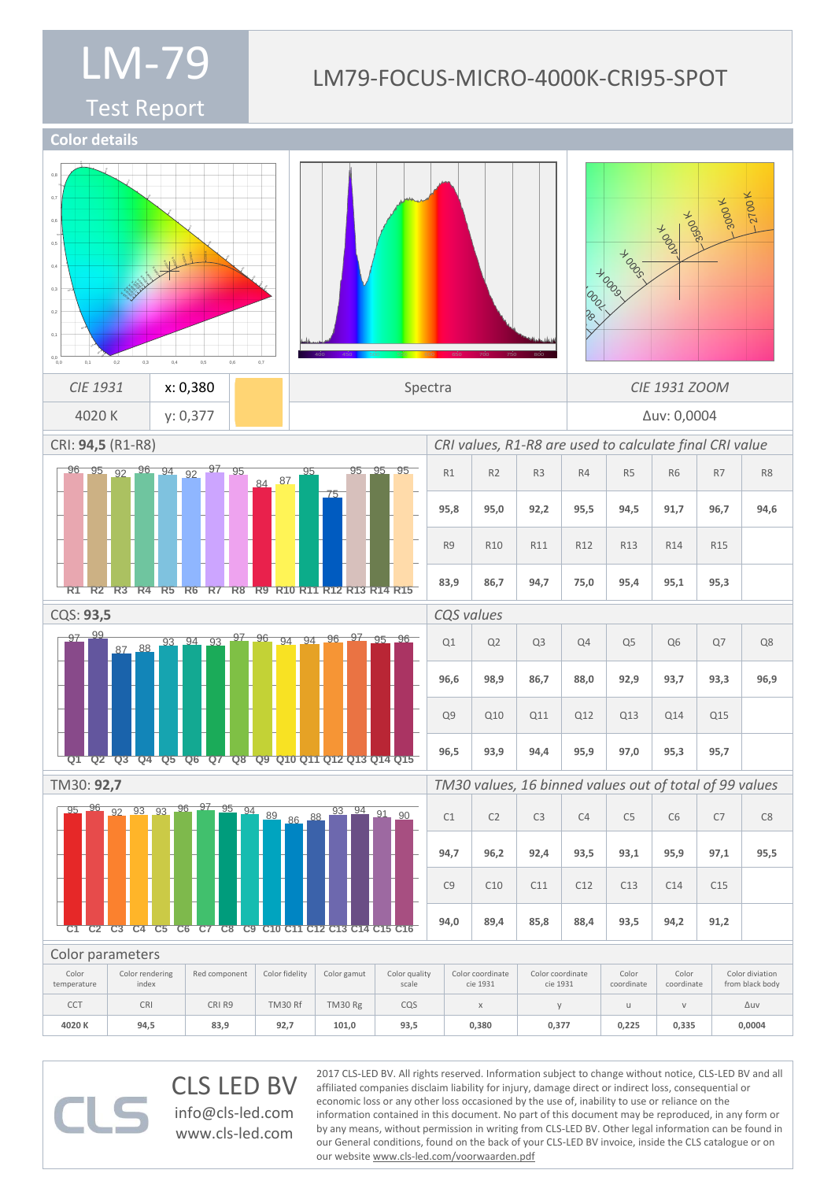#### Test Report

**Color details**

## LM79-FOCUS-MICRO-4000K-CRI95-SPOT

560

400 450 500 550 600 650 700 750 800 2700 k  $300^\circ$  $\lambda$ 0050  $40^{0}$  $J_{\text{O}}$  $+e^{-\theta}$ (a)  $\frac{8}{30}$  $\frac{1}{2}$  $\mathbf{1}$  $12000$ 1500 K **2000 KM**<br>2000 KM  $\frac{1}{\sqrt{1-\frac{1}{\sqrt{1-\frac{1}{\sqrt{1-\frac{1}{\sqrt{1-\frac{1}{\sqrt{1-\frac{1}{\sqrt{1-\frac{1}{\sqrt{1-\frac{1}{\sqrt{1-\frac{1}{\sqrt{1-\frac{1}{\sqrt{1-\frac{1}{\sqrt{1-\frac{1}{\sqrt{1-\frac{1}{\sqrt{1-\frac{1}{\sqrt{1-\frac{1}{\sqrt{1-\frac{1}{\sqrt{1-\frac{1}{\sqrt{1-\frac{1}{\sqrt{1-\frac{1}{\sqrt{1-\frac{1}{\sqrt{1-\frac{1}{\sqrt{1-\frac{1}{\sqrt{1-\frac{1}{\sqrt{1-\frac{1}{\sqrt{1-\frac{1$  $\overline{a}$ **83** 470 480 97 **Q1** 99 **Q2** 87 **Q3** 88 **Q4** 93 **Q5** 94 **Q6** 93 **Q7** 97 **Q8** 96 **Q9** 94 **Q10** 94 **Q11** 96 **Q12** 97 **Q13** 95 **Q14** 96 **Q15** 95 **C1** 96 **C2** 92 **C3** 93 **C4** 93 **C5** 96 **C6** 97 **C7** 95 **C8** 94 **C9** 89 **C10** 86 **C11** 88 **C12** 93 **C13** 94 **C14**  $\sim$ **C15** 90 **C16** 96 **R1** 95 **R2** 92 **R3** 96 **R4** 94 **R5**  $Q<sub>2</sub>$ **R6** 97 **R7** 95 **R8** 84 **R9** 87 **R10** 95 **R11** 75 **R12** 95 **R13** 95 **R14** 95 **R15**  $\overline{0}$ 0,6  $\overline{0}$  $\overline{0}$  $\overline{0}$  $\overline{0}$  $\overline{0}$ 0,0 0,0 0,1 0,2 0,3 0,4 0,5 0,6 0,7 3000 K **3500 K** 40<sub>00</sub> **TON** er<br>Ro +000  $\mathbb{R}^3$  $\mathbb{S}^3$ 1600<br>0.000  $\frac{1}{2}$  $\tilde{\mathcal{E}}_{\mathcal{E}}^{(0)}$ 2000 **Happ** 460 560 570 580 610 630 *CIE* 1931 **x: 0,380 X Spectra** *CIE* 1931 ZOOM 4020 K y: 0,377 Δuv: 0,0004 CRI: **94,5** (R1-R8) *CRI values, R1-R8 are used to calculate final CRI value* R1 | R2 | R3 | R4 | R5 | R6 | R7 | R8 **95,8 95,0 92,2 95,5 94,5 91,7 96,7 94,6** R9 | R10 | R11 | R12 | R13 | R14 | R15 **83,9 86,7 94,7 75,0 95,4 95,1 95,3** CQS: **93,5** *CQS values*  $Q1$   $Q2$   $Q3$   $Q4$   $Q5$   $Q6$   $Q7$   $Q8$ **96,6 98,9 86,7 88,0 92,9 93,7 93,3 96,9** Q9 Q10 Q11 Q12 Q13 Q14 Q15 **96,5 93,9 94,4 95,9 97,0 95,3 95,7** TM30: **92,7** *TM30 values, 16 binned values out of total of 99 values*  $C1$   $C2$   $C3$   $C4$   $C5$   $C6$   $C7$   $C8$ **94,7 96,2 92,4 93,5 93,1 95,9 97,1 95,5** C9 | C10 | C11 | C12 | C13 | C14 | C15 **94,0 89,4 85,8 88,4 93,5 94,2 91,2** Color parameters Color temperature Color rendering index Red component | Color fidelity | Color gamut | Color quality scale Color coordinate cie 1931 Color coordinate cie 1931 Color coordinate Color coordinate Color diviation from black body CCT | CRI | CRIR9 | TM30 Rf | TM30 Rg | CQS | x | y | u | v | Δuv **4020 K 94,5 83,9 92,7 101,0 93,5 0,380 0,377 0,225 0,335 0,0004**

> CLS LED BV info@cls-led.com

> > www.cls-led.com

2017 CLS-LED BV. All rights reserved. Information subject to change without notice, CLS-LED BV and all affiliated companies disclaim liability for injury, damage direct or indirect loss, consequential or economic loss or any other loss occasioned by the use of, inability to use or reliance on the information contained in this document. No part of this document may be reproduced, in any form or by any means, without permission in writing from CLS-LED BV. Other legal information can be found in our General conditions, found on the back of your CLS-LED BV invoice, inside the CLS catalogue or on our website www.cls-led.com/voorwaarden.pdf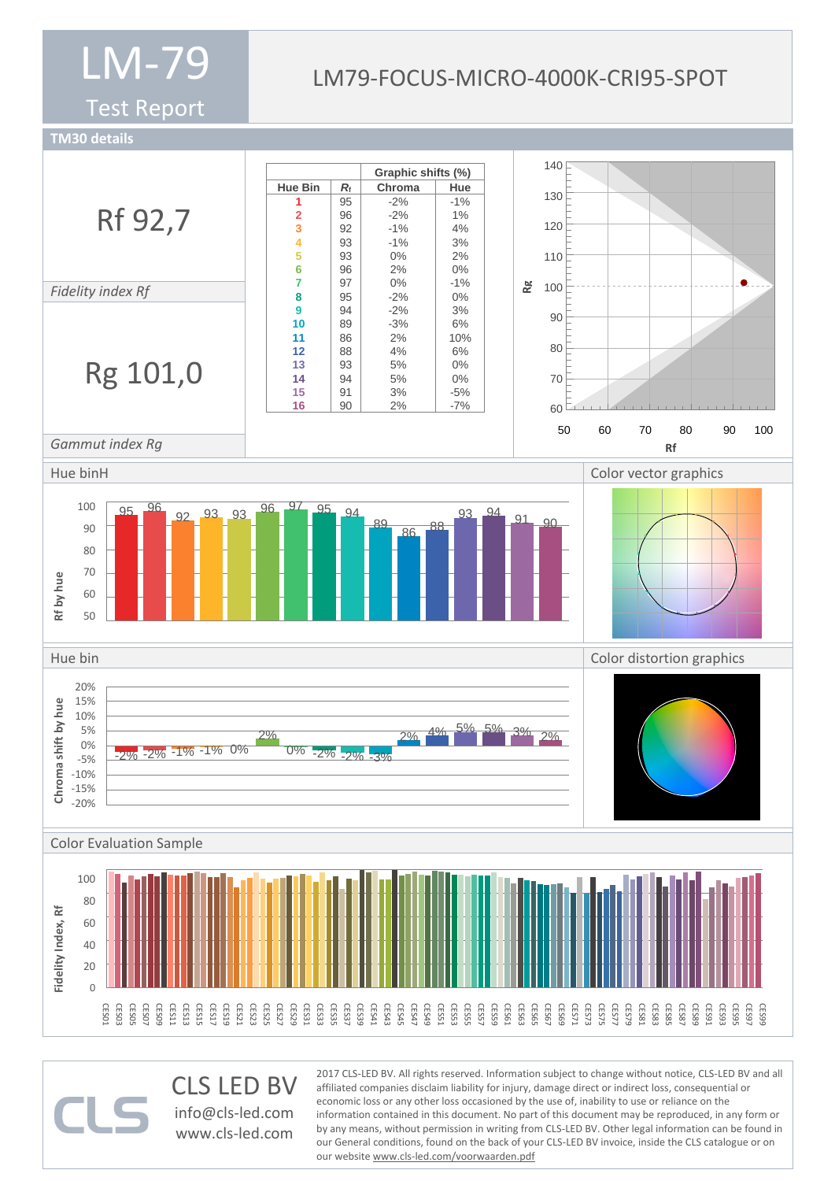Test Report

## LM79-FOCUS-MICRO-4000K-CRI95-SPOT

**TM30 details**



CLS LED BV info@cls-led.com www.cls-led.com

2017 CLS-LED BV. All rights reserved. Information subject to change without notice, CLS-LED BV and all affiliated companies disclaim liability for injury, damage direct or indirect loss, consequential or economic loss or any other loss occasioned by the use of, inability to use or reliance on the information contained in this document. No part of this document may be reproduced, in any form or by any means, without permission in writing from CLS-LED BV. Other legal information can be found in our General conditions, found on the back of your CLS-LED BV invoice, inside the CLS catalogue or on our website www.cls-led.com/voorwaarden.pdf